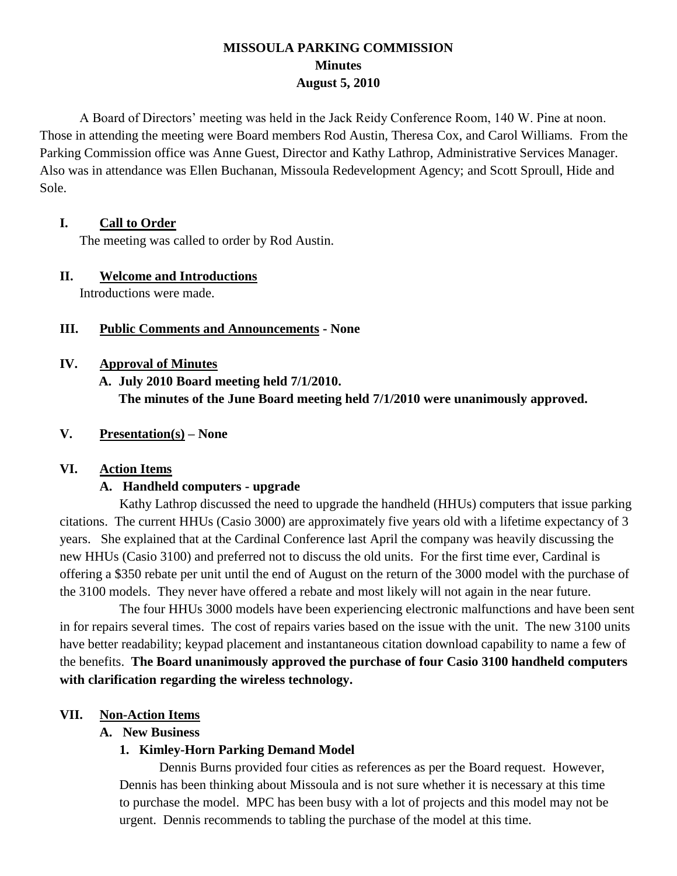# **MISSOULA PARKING COMMISSION Minutes August 5, 2010**

A Board of Directors' meeting was held in the Jack Reidy Conference Room, 140 W. Pine at noon. Those in attending the meeting were Board members Rod Austin, Theresa Cox, and Carol Williams. From the Parking Commission office was Anne Guest, Director and Kathy Lathrop, Administrative Services Manager. Also was in attendance was Ellen Buchanan, Missoula Redevelopment Agency; and Scott Sproull, Hide and Sole.

### **I. Call to Order**

The meeting was called to order by Rod Austin.

### **II. Welcome and Introductions**

Introductions were made.

## **III. Public Comments and Announcements - None**

### **IV. Approval of Minutes**

**A. July 2010 Board meeting held 7/1/2010. The minutes of the June Board meeting held 7/1/2010 were unanimously approved.**

## **V. Presentation(s) – None**

## **VI. Action Items**

## **A. Handheld computers - upgrade**

Kathy Lathrop discussed the need to upgrade the handheld (HHUs) computers that issue parking citations. The current HHUs (Casio 3000) are approximately five years old with a lifetime expectancy of 3 years. She explained that at the Cardinal Conference last April the company was heavily discussing the new HHUs (Casio 3100) and preferred not to discuss the old units. For the first time ever, Cardinal is offering a \$350 rebate per unit until the end of August on the return of the 3000 model with the purchase of the 3100 models. They never have offered a rebate and most likely will not again in the near future.

The four HHUs 3000 models have been experiencing electronic malfunctions and have been sent in for repairs several times. The cost of repairs varies based on the issue with the unit. The new 3100 units have better readability; keypad placement and instantaneous citation download capability to name a few of the benefits. **The Board unanimously approved the purchase of four Casio 3100 handheld computers with clarification regarding the wireless technology.**

## **VII. Non-Action Items**

#### **A. New Business**

## **1. Kimley-Horn Parking Demand Model**

Dennis Burns provided four cities as references as per the Board request. However, Dennis has been thinking about Missoula and is not sure whether it is necessary at this time to purchase the model. MPC has been busy with a lot of projects and this model may not be urgent. Dennis recommends to tabling the purchase of the model at this time.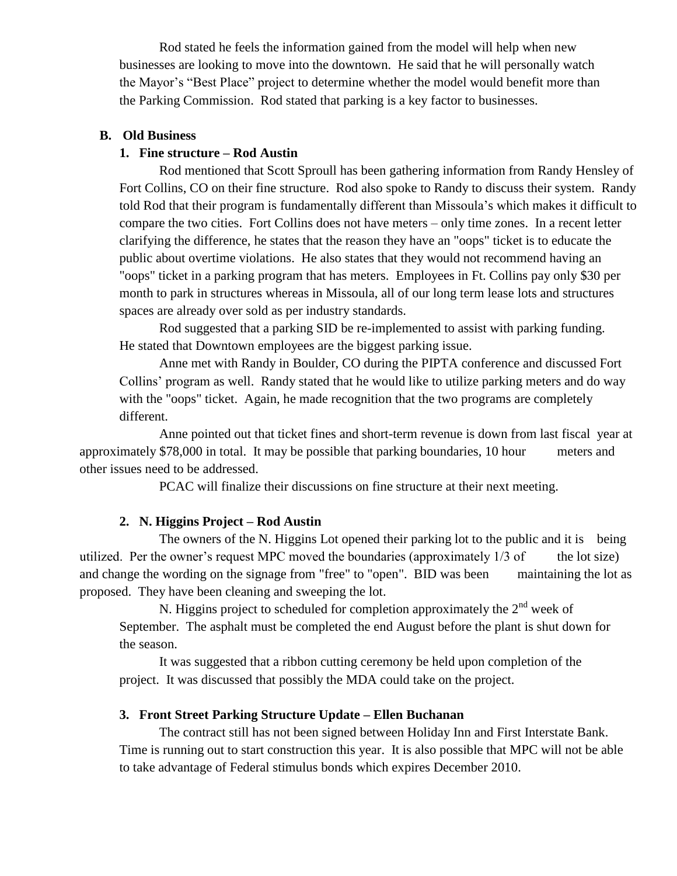Rod stated he feels the information gained from the model will help when new businesses are looking to move into the downtown. He said that he will personally watch the Mayor's "Best Place" project to determine whether the model would benefit more than the Parking Commission. Rod stated that parking is a key factor to businesses.

### **B. Old Business**

### **1. Fine structure – Rod Austin**

Rod mentioned that Scott Sproull has been gathering information from Randy Hensley of Fort Collins, CO on their fine structure. Rod also spoke to Randy to discuss their system. Randy told Rod that their program is fundamentally different than Missoula's which makes it difficult to compare the two cities. Fort Collins does not have meters – only time zones. In a recent letter clarifying the difference, he states that the reason they have an "oops" ticket is to educate the public about overtime violations. He also states that they would not recommend having an "oops" ticket in a parking program that has meters. Employees in Ft. Collins pay only \$30 per month to park in structures whereas in Missoula, all of our long term lease lots and structures spaces are already over sold as per industry standards.

Rod suggested that a parking SID be re-implemented to assist with parking funding. He stated that Downtown employees are the biggest parking issue.

Anne met with Randy in Boulder, CO during the PIPTA conference and discussed Fort Collins' program as well. Randy stated that he would like to utilize parking meters and do way with the "oops" ticket. Again, he made recognition that the two programs are completely different.

Anne pointed out that ticket fines and short-term revenue is down from last fiscal year at approximately \$78,000 in total. It may be possible that parking boundaries, 10 hour meters and other issues need to be addressed.

PCAC will finalize their discussions on fine structure at their next meeting.

#### **2. N. Higgins Project – Rod Austin**

The owners of the N. Higgins Lot opened their parking lot to the public and it is being utilized. Per the owner's request MPC moved the boundaries (approximately  $1/3$  of the lot size) and change the wording on the signage from "free" to "open". BID was been maintaining the lot as proposed. They have been cleaning and sweeping the lot.

N. Higgins project to scheduled for completion approximately the  $2<sup>nd</sup>$  week of September. The asphalt must be completed the end August before the plant is shut down for the season.

It was suggested that a ribbon cutting ceremony be held upon completion of the project. It was discussed that possibly the MDA could take on the project.

#### **3. Front Street Parking Structure Update – Ellen Buchanan**

The contract still has not been signed between Holiday Inn and First Interstate Bank. Time is running out to start construction this year. It is also possible that MPC will not be able to take advantage of Federal stimulus bonds which expires December 2010.